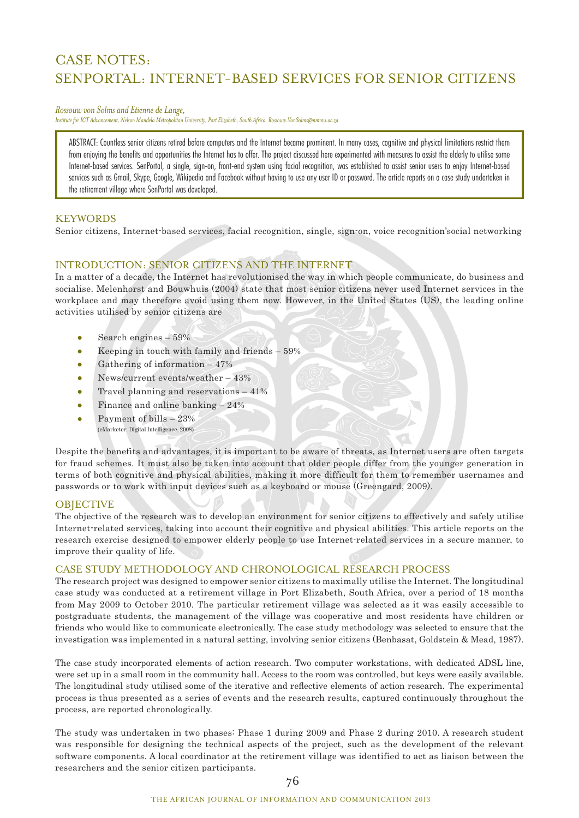# CASE NOTES: SENPORTAL: INTERNET-BASED SERVICES FOR SENIOR CITIZENS

#### *Rossouw von Solms and Etienne de Lange,*

*Institute for ICT Advancement, Nelson Mandela Metropolitan University, Port Elizabeth, South Africa, Rossouw.VonSolms@nmmu.ac.za* 

ABSTRACT: Countless senior citizens retired before computers and the Internet became prominent. In many cases, cognitive and physical limitations restrict them from enjoying the benefits and opportunities the Internet has to offer. The project discussed here experimented with measures to assist the elderly to utilise some Internet-based services. SenPortal, a single, sign-on, front-end system using facial recognition, was established to assist senior users to enjoy Internet-based services such as Gmail, Skype, Google, Wikipedia and Facebook without having to use any user ID or password. The article reports on a case study undertaken in the retirement village where SenPortal was developed.

## **KEYWORDS**

Senior citizens, Internet-based services, facial recognition, single, sign-on, voice recognition'social networking

# INTRODUCTION: SENIOR CITIZENS AND THE INTERNET

In a matter of a decade, the Internet has revolutionised the way in which people communicate, do business and socialise. Melenhorst and Bouwhuis (2004) state that most senior citizens never used Internet services in the workplace and may therefore avoid using them now. However, in the United States (US), the leading online activities utilised by senior citizens are

- $\bullet$  Search engines 59%
- Keeping in touch with family and friends 59%
- Gathering of information  $-47%$
- News/current events/weather 43%
- Travel planning and reservations 41%
- $\bullet$  Finance and online banking  $-24\%$
- Payment of bills  $-23%$ (eMarketer: Digital Intelligence, 2008)

Despite the benefits and advantages, it is important to be aware of threats, as Internet users are often targets for fraud schemes. It must also be taken into account that older people differ from the younger generation in terms of both cognitive and physical abilities, making it more difficult for them to remember usernames and passwords or to work with input devices such as a keyboard or mouse (Greengard, 2009).

### **OBJECTIVE**

The objective of the research was to develop an environment for senior citizens to effectively and safely utilise Internet-related services, taking into account their cognitive and physical abilities. This article reports on the research exercise designed to empower elderly people to use Internet-related services in a secure manner, to improve their quality of life.

### CASE STUDY METHODOLOGY AND CHRONOLOGICAL RESEARCH PROCESS

The research project was designed to empower senior citizens to maximally utilise the Internet. The longitudinal case study was conducted at a retirement village in Port Elizabeth, South Africa, over a period of 18 months from May 2009 to October 2010. The particular retirement village was selected as it was easily accessible to postgraduate students, the management of the village was cooperative and most residents have children or friends who would like to communicate electronically. The case study methodology was selected to ensure that the investigation was implemented in a natural setting, involving senior citizens (Benbasat, Goldstein & Mead, 1987).

The case study incorporated elements of action research. Two computer workstations, with dedicated ADSL line, were set up in a small room in the community hall. Access to the room was controlled, but keys were easily available. The longitudinal study utilised some of the iterative and reflective elements of action research. The experimental process is thus presented as a series of events and the research results, captured continuously throughout the process, are reported chronologically.

The study was undertaken in two phases: Phase 1 during 2009 and Phase 2 during 2010. A research student was responsible for designing the technical aspects of the project, such as the development of the relevant software components. A local coordinator at the retirement village was identified to act as liaison between the researchers and the senior citizen participants.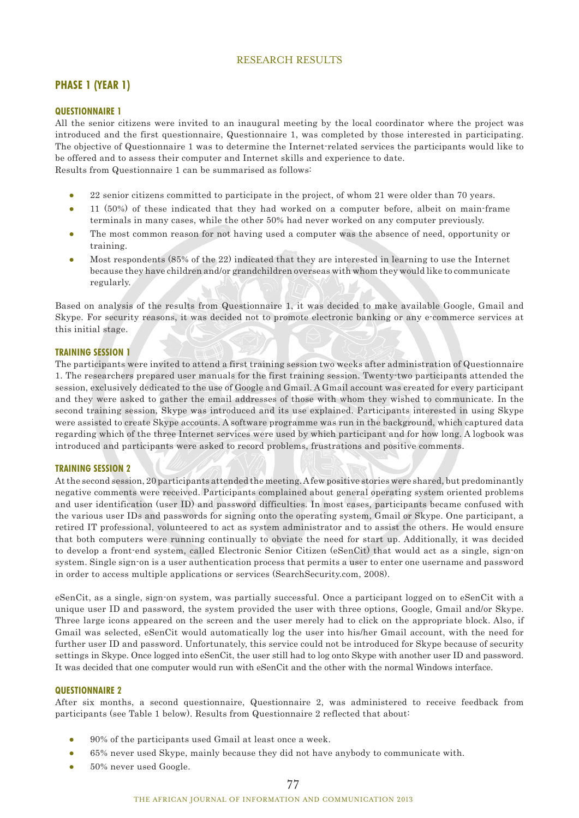# RESEARCH RESULTS

# **PHASE 1 (YEAR 1)**

#### **QUESTIONNAIRE 1**

All the senior citizens were invited to an inaugural meeting by the local coordinator where the project was introduced and the first questionnaire, Questionnaire 1, was completed by those interested in participating. The objective of Questionnaire 1 was to determine the Internet-related services the participants would like to be offered and to assess their computer and Internet skills and experience to date. Results from Questionnaire 1 can be summarised as follows:

- 22 senior citizens committed to participate in the project, of whom 21 were older than 70 years. • 11 (50%) of these indicated that they had worked on a computer before, albeit on main-frame terminals in many cases, while the other 50% had never worked on any computer previously.
- The most common reason for not having used a computer was the absence of need, opportunity or training.
- Most respondents (85% of the 22) indicated that they are interested in learning to use the Internet because they have children and/or grandchildren overseas with whom they would like to communicate regularly.

Based on analysis of the results from Questionnaire 1, it was decided to make available Google, Gmail and Skype. For security reasons, it was decided not to promote electronic banking or any e-commerce services at this initial stage.

#### **TRAINING SESSION 1**

The participants were invited to attend a first training session two weeks after administration of Questionnaire 1. The researchers prepared user manuals for the first training session. Twenty-two participants attended the session, exclusively dedicated to the use of Google and Gmail. A Gmail account was created for every participant and they were asked to gather the email addresses of those with whom they wished to communicate. In the second training session, Skype was introduced and its use explained. Participants interested in using Skype were assisted to create Skype accounts. A software programme was run in the background, which captured data regarding which of the three Internet services were used by which participant and for how long. A logbook was introduced and participants were asked to record problems, frustrations and positive comments.

#### **TRAINING SESSION 2**

At the second session, 20 participants attended the meeting. A few positive stories were shared, but predominantly negative comments were received. Participants complained about general operating system oriented problems and user identification (user ID) and password difficulties. In most cases, participants became confused with the various user IDs and passwords for signing onto the operating system, Gmail or Skype. One participant, a retired IT professional, volunteered to act as system administrator and to assist the others. He would ensure that both computers were running continually to obviate the need for start up. Additionally, it was decided to develop a front-end system, called Electronic Senior Citizen (eSenCit) that would act as a single, sign-on system. Single sign-on is a user authentication process that permits a user to enter one username and password in order to access multiple applications or services (SearchSecurity.com, 2008).

eSenCit, as a single, sign-on system, was partially successful. Once a participant logged on to eSenCit with a unique user ID and password, the system provided the user with three options, Google, Gmail and/or Skype. Three large icons appeared on the screen and the user merely had to click on the appropriate block. Also, if Gmail was selected, eSenCit would automatically log the user into his/her Gmail account, with the need for further user ID and password. Unfortunately, this service could not be introduced for Skype because of security settings in Skype. Once logged into eSenCit, the user still had to log onto Skype with another user ID and password. It was decided that one computer would run with eSenCit and the other with the normal Windows interface.

#### **QUESTIONNAIRE 2**

After six months, a second questionnaire, Questionnaire 2, was administered to receive feedback from participants (see Table 1 below). Results from Questionnaire 2 reflected that about:

- 90% of the participants used Gmail at least once a week.
- 65% never used Skype, mainly because they did not have anybody to communicate with.
- 50% never used Google.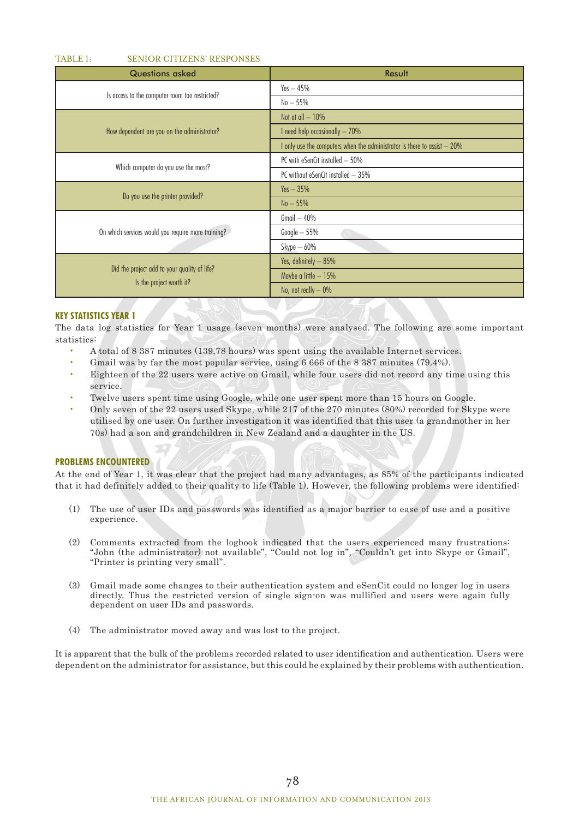#### TABLE 1: SENIOR CITIZENS' RESPONSES

| <b>Questions asked</b>                                                   | Result                                                                   |
|--------------------------------------------------------------------------|--------------------------------------------------------------------------|
| Is access to the computer room too restricted?                           | $Yes - 45%$                                                              |
|                                                                          | $No-55%$                                                                 |
| How dependent are you on the administrator?                              | Not at all $-10%$                                                        |
|                                                                          | I need help occasionally - 70%                                           |
|                                                                          | I only use the computers when the administrator is there to assist - 20% |
| Which computer do you use the most?                                      | PC with eSenCit installed - 50%                                          |
|                                                                          | PC without eSenCit installed - 35%                                       |
| Do you use the printer provided?                                         | $Yes - 35%$                                                              |
|                                                                          | $No - 55%$                                                               |
| On which services would you require more training?                       | $G$ mail $-40%$                                                          |
|                                                                          | $Google-55%$                                                             |
|                                                                          | $Skype-60%$                                                              |
| Did the project add to your quality of life?<br>Is the project worth it? | Yes, definitely - 85%                                                    |
|                                                                          | Maybe a little - 15%                                                     |
|                                                                          | No, not really $-0\%$                                                    |

### **KEY STATISTICS YEAR 1**

The data log statistics for Year 1 usage (seven months) were analysed. The following are some important statistics:

- A total of 8 387 minutes (139,78 hours) was spent using the available Internet services.
- Gmail was by far the most popular service, using 6 666 of the 8 387 minutes (79.4%).
- Eighteen of the 22 users were active on Gmail, while four users did not record any time using this service.
- Twelve users spent time using Google, while one user spent more than 15 hours on Google.
- Only seven of the 22 users used Skype, while 217 of the 270 minutes (80%) recorded for Skype were utilised by one user. On further investigation it was identified that this user (a grandmother in her 70s) had a son and grandchildren in New Zealand and a daughter in the US.

#### **PROBLEMS ENCOUNTERED**

At the end of Year 1, it was clear that the project had many advantages, as 85% of the participants indicated that it had definitely added to their quality to life (Table 1). However, the following problems were identified:

- (1) The use of user IDs and passwords was identified as a major barrier to ease of use and a positive experience.
- (2) Comments extracted from the logbook indicated that the users experienced many frustrations: "John (the administrator) not available", "Could not log in", "Couldn't get into Skype or Gmail", "Printer is printing very small".
- (3) Gmail made some changes to their authentication system and eSenCit could no longer log in users directly. Thus the restricted version of single sign-on was nullified and users were again fully dependent on user IDs and passwords.
- (4) The administrator moved away and was lost to the project.

It is apparent that the bulk of the problems recorded related to user identification and authentication. Users were dependent on the administrator for assistance, but this could be explained by their problems with authentication.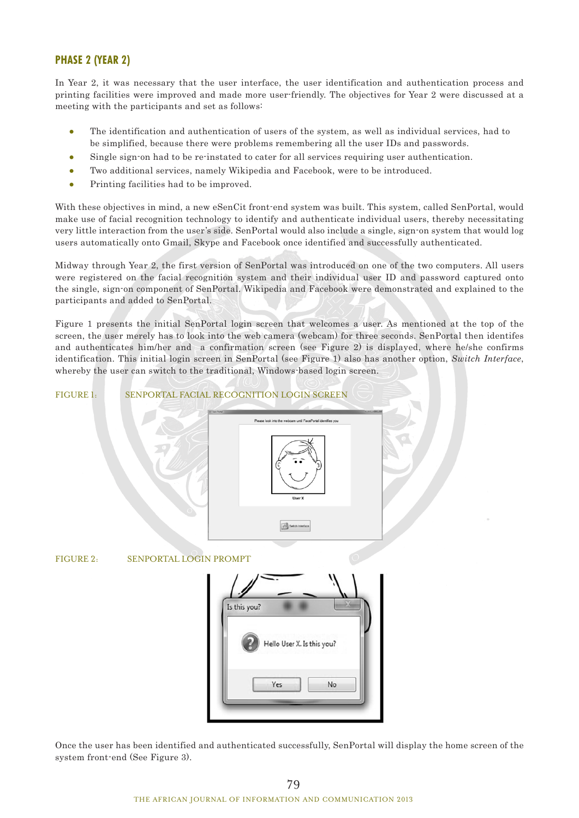# **PHASE 2 (YEAR 2)**

In Year 2, it was necessary that the user interface, the user identification and authentication process and printing facilities were improved and made more user-friendly. The objectives for Year 2 were discussed at a meeting with the participants and set as follows:

- The identification and authentication of users of the system, as well as individual services, had to be simplified, because there were problems remembering all the user IDs and passwords.
- Single sign-on had to be re-instated to cater for all services requiring user authentication.
- Two additional services, namely Wikipedia and Facebook, were to be introduced.
- Printing facilities had to be improved.

With these objectives in mind, a new eSenCit front-end system was built. This system, called SenPortal, would make use of facial recognition technology to identify and authenticate individual users, thereby necessitating very little interaction from the user's side. SenPortal would also include a single, sign-on system that would log users automatically onto Gmail, Skype and Facebook once identified and successfully authenticated.

Midway through Year 2, the first version of SenPortal was introduced on one of the two computers. All users were registered on the facial recognition system and their individual user ID and password captured onto the single, sign-on component of SenPortal. Wikipedia and Facebook were demonstrated and explained to the participants and added to SenPortal.

Figure 1 presents the initial SenPortal login screen that welcomes a user. As mentioned at the top of the screen, the user merely has to look into the web camera (webcam) for three seconds. SenPortal then identifes and authenticates him/her and a confirmation screen (see Figure 2) is displayed, where he/she confirms identification. This initial login screen in SenPortal (see Figure 1) also has another option, *Switch Interface*, whereby the user can switch to the traditional, Windows-based login screen.

#### FIGURE 1: SENPORTAL FACIAL RECOGNITION LOGIN SCREEN



FIGURE 2: SENPORTAL LOGIN PROMPT



Once the user has been identified and authenticated successfully, SenPortal will display the home screen of the system front-end (See Figure 3).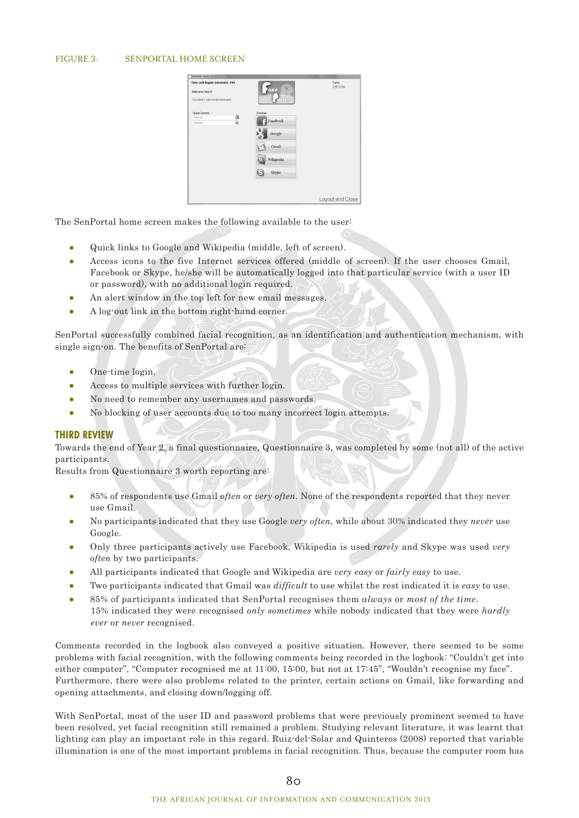#### FIGURE 3: SENPORTAL HOME SCREEN



The SenPortal home screen makes the following available to the user:

- Quick links to Google and Wikipedia (middle, left of screen).
- Access icons to the five Internet services offered (middle of screen). If the user chooses Gmail, Facebook or Skype, he/she will be automatically logged into that particular service (with a user ID or password), with no additional login required.
- An alert window in the top left for new email messages.
- A log-out link in the bottom right-hand corner.

SenPortal successfully combined facial recognition, as an identification and authentication mechanism, with single sign-on. The benefits of SenPortal are:

- One-time login.
- Access to multiple services with further login.
- No need to remember any usernames and passwords.
- No blocking of user accounts due to too many incorrect login attempts.

### **THIRD REVIEW**

Towards the end of Year 2, a final questionnaire, Questionnaire 3, was completed by some (not all) of the active participants.

Results from Questionnaire 3 worth reporting are:

- 85% of respondents use Gmail *often* or *very often*. None of the respondents reported that they never use Gmail.
- No participants indicated that they use Google *very often*, while about 30% indicated they *never* use Google.
- Only three participants actively use Facebook, Wikipedia is used *rarely* and Skype was used *very often* by two participants.
- All participants indicated that Google and Wikipedia are *very easy* or *fairly easy* to use.
- Two participants indicated that Gmail was *difficult* to use whilst the rest indicated it is *easy* to use.
- 85% of participants indicated that SenPortal recognises them *always* or *most of the time*. .15% indicated they were recognised *only sometimes* while nobody indicated that they were *hardly ever* or *never* recognised.

Comments recorded in the logbook also conveyed a positive situation. However, there seemed to be some problems with facial recognition, with the following comments being recorded in the logbook: "Couldn't get into either computer", "Computer recognised me at 11:00, 15:00, but not at 17:45", "Wouldn't recognise my face". Furthermore, there were also problems related to the printer, certain actions on Gmail, like forwarding and opening attachments, and closing down/logging off.

With SenPortal, most of the user ID and password problems that were previously prominent seemed to have been resolved, yet facial recognition still remained a problem. Studying relevant literature, it was learnt that lighting can play an important role in this regard. Ruiz-del-Solar and Quinteros (2008) reported that variable illumination is one of the most important problems in facial recognition. Thus, because the computer room has